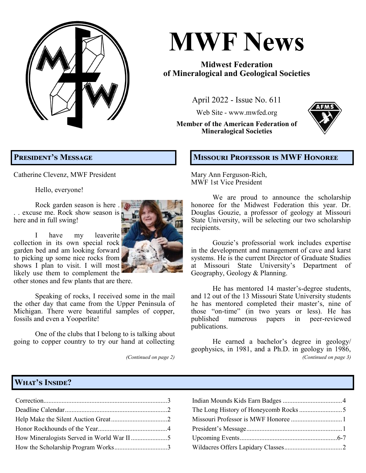**MWF News April 2022, Issue No. 611 Page 1**

# **MWF News**

## **Midwest Federation of Mineralogical and Geological Societies**

April 2022 - Issue No. 611

Web Site - [www.mwfed.org](http://www.amfed.org/mwf)

**Member of the American Federation of Mineralogical Societies**



# **President's Message**

Catherine Clevenz, MWF President

Hello, everyone!

Rock garden season is here . .. excuse me. Rock show season is here and in full swing!



other stones and few plants that are there.

Speaking of rocks, I received some in the mail the other day that came from the Upper Peninsula of Michigan. There were beautiful samples of copper, fossils and even a Yooperlite!

One of the clubs that I belong to is talking about going to copper country to try our hand at collecting

*(Continued on page 2)*

#### **Missouri Professor is MWF Honoree**

Mary Ann Ferguson-Rich, MWF 1st Vice President

We are proud to announce the scholarship honoree for the Midwest Federation this year. Dr. Douglas Gouzie, a professor of geology at Missouri State University, will be selecting our two scholarship recipients.

Gouzie's professorial work includes expertise in the development and management of cave and karst systems. He is the current Director of Graduate Studies at Missouri State University's Department of Geography, Geology & Planning.

He has mentored 14 master's-degree students, and 12 out of the 13 Missouri State University students he has mentored completed their master's, nine of those "on-time" (in two years or less). He has published numerous papers in peer-reviewed publications.

He earned a bachelor's degree in geology/ geophysics, in 1981, and a Ph.D. in geology in 1986, *(Continued on page 3)*

# **What's Inside?**

| How Mineralogists Served in World War II 5 |  |
|--------------------------------------------|--|
| How the Scholarship Program Works3         |  |

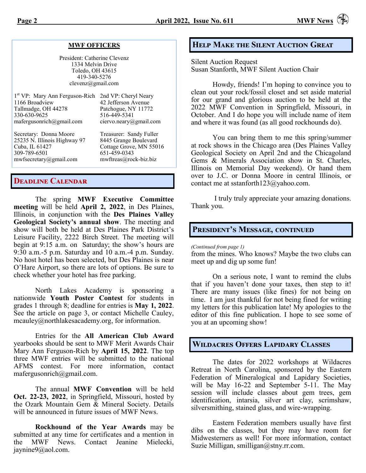#### **MWF OFFICERS**

President: Catherine Clevenz 1334 Melvin Drive Toledo, OH 43615 419-340-5276 clevenz@gmail.com

| 1st VP: Mary Ann Ferguson-Rich 2nd VP: Cheryl Neary |                                               |
|-----------------------------------------------------|-----------------------------------------------|
| 1166 Broadview                                      | 42 Jefferson Avenue                           |
| Tallmadge, OH 44278                                 | Patchogue, NY 11772                           |
| 330-630-9625                                        | 516-449-5341                                  |
| mafergusonrich@gmail.com                            | ciervo.neary@gmail.com                        |
| Secretary: Donna Moore                              | Treasurer: Sandy Fuller                       |
| 25235 N. Illinois Highway 97                        | 8445 Grange Boulevard                         |
| Cube II $61427$                                     | $C_{\alpha}$ ttaga $C_{\alpha}$ vaya MN 55016 |

Cuba, IL 61427 Cottage Grove, MN 55016 309-789-6501 651-459-0343 [mwfsecretary@gmail.com](mailto:mwfsecretary@gmail.com) [mwftreas@rock](mailto:mwftreas@rock-biz.biz)-biz.biz

#### **Deadline Calendar**

The spring **MWF Executive Committee meeting** will be held **April 2, 2022**, in Des Plaines, Illinois, in conjunction with the **Des Plaines Valley Geological Society's annual show**. The meeting and show will both be held at Des Plaines Park District's Leisure Facility, 2222 Birch Street. The meeting will begin at 9:15 a.m. on Saturday; the show's hours are 9:30 a.m.-5 p.m. Saturday and 10 a.m.-4 p.m. Sunday. No host hotel has been selected, but Des Plaines is near O'Hare Airport, so there are lots of options. Be sure to check whether your hotel has free parking.

North Lakes Academy is sponsoring a nationwide **Youth Poster Contest** for students in grades 1 through 8; deadline for entries is **May 1, 2022**. See the article on page 3, or contact Michelle Cauley, [mcauley@northlakesacademy.org,](mailto:mcauley@northlakesacademy.org) for information.

Entries for the **All American Club Award** yearbooks should be sent to MWF Merit Awards Chair Mary Ann Ferguson-Rich by **April 15, 2022**. The top three MWF entries will be submitted to the national AFMS contest. For more information, contact mafergusonrich@gmail.com.

The annual **MWF Convention** will be held **Oct. 22-23, 2022**, in Springfield, Missouri, hosted by the Ozark Mountain Gem & Mineral Society. Details will be announced in future issues of MWF News.

**Rockhound of the Year Awards** may be submitted at any time for certificates and a mention in the MWF News. Contact Jeanine Mielecki, [jaynine9@aol.com.](mailto:jaynine9@aol.com) 

#### **Help Make the Silent Auction Great**

Silent Auction Request Susan Stanforth, MWF Silent Auction Chair

Howdy, friends! I'm hoping to convince you to clean out your rock/fossil closet and set aside material for our grand and glorious auction to be held at the 2022 MWF Convention in Springfield, Missouri, in October. And I do hope you will include name of item and where it was found (as all good rockhounds do).

You can bring them to me this spring/summer at rock shows in the Chicago area (Des Plaines Valley Geological Society on April 2nd and the Chicagoland Gems & Minerals Association show in St. Charles, Illinois on Memorial Day weekend). Or hand them over to J.C. or Donna Moore in central Illinois, or contact me at sstanforth123@yahoo.com.

I truly truly appreciate your amazing donations. Thank you.

#### **President's Message, continued**

*(Continued from page 1)*

from the mines. Who knows? Maybe the two clubs can meet up and dig up some fun!

On a serious note, I want to remind the clubs that if you haven't done your taxes, then step to it! There are many issues (like fines) for not being on time. I am just thankful for not being fined for writing my letters for this publication late! My apologies to the editor of this fine publication. I hope to see some of you at an upcoming show!

### **Wildacres Offers Lapidary Classes**

The dates for 2022 workshops at Wildacres Retreat in North Carolina, sponsored by the Eastern Federation of Mineralogical and Lapidary Societies, will be May 16-22 and September 5-11. The May session will include classes about gem trees, gem identification, intarsia, silver art clay, scrimshaw, silversmithing, stained glass, and wire-wrapping.

Eastern Federation members usually have first dibs on the classes, but they may have room for Midwesterners as well! For more information, contact Suzie Milligan, smilligan@stny.rr.com.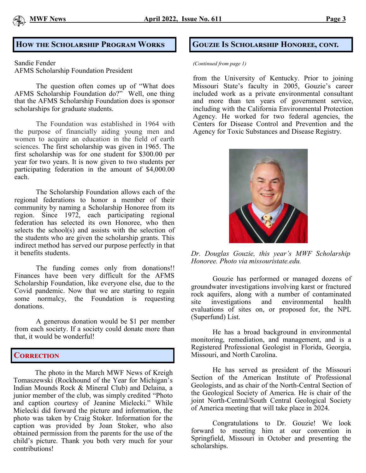

#### How the Scholarship Program Works **Gouzie Is Scholarship Honoree, cont.**

Sandie Fender

AFMS Scholarship Foundation President

The question often comes up of "What does AFMS Scholarship Foundation do?" Well, one thing that the AFMS Scholarship Foundation does is sponsor scholarships for graduate students.

The Foundation was established in 1964 with the purpose of financially aiding young men and women to acquire an education in the field of earth sciences. The first scholarship was given in 1965. The first scholarship was for one student for \$300.00 per year for two years. It is now given to two students per participating federation in the amount of \$4,000.00 each.

The Scholarship Foundation allows each of the regional federations to honor a member of their community by naming a Scholarship Honoree from its region. Since 1972, each participating regional federation has selected its own Honoree, who then selects the school(s) and assists with the selection of the students who are given the scholarship grants. This indirect method has served our purpose perfectly in that it benefits students.

The funding comes only from donations!! Finances have been very difficult for the AFMS Scholarship Foundation, like everyone else, due to the Covid pandemic. Now that we are starting to regain some normalcy, the Foundation is requesting donations.

A generous donation would be \$1 per member from each society. If a society could donate more than that, it would be wonderful!

#### **Correction**

The photo in the March MWF News of Kreigh Tomaszewski (Rockhound of the Year for Michigan's Indian Mounds Rock & Mineral Club) and Delaina, a junior member of the club, was simply credited "Photo and caption courtesy of Jeanine Mielecki." While Mielecki did forward the picture and information, the photo was taken by Craig Stoker. Information for the caption was provided by Joan Stoker, who also obtained permission from the parents for the use of the child's picture. Thank you both very much for your contributions!

#### *(Continued from page 1)*

from the University of Kentucky. Prior to joining Missouri State's faculty in 2005, Gouzie's career included work as a private environmental consultant and more than ten years of government service, including with the California Environmental Protection Agency. He worked for two federal agencies, the Centers for Disease Control and Prevention and the Agency for Toxic Substances and Disease Registry.



*Dr. Douglas Gouzie, this year's MWF Scholarship Honoree. Photo via missouristate.edu.*

Gouzie has performed or managed dozens of groundwater investigations involving karst or fractured rock aquifers, along with a number of contaminated site investigations and environmental health evaluations of sites on, or proposed for, the NPL (Superfund) List.

He has a broad background in environmental monitoring, remediation, and management, and is a Registered Professional Geologist in Florida, Georgia, Missouri, and North Carolina.

He has served as president of the Missouri Section of the American Institute of Professional Geologists, and as chair of the North-Central Section of the Geological Society of America. He is chair of the joint North-Central/South Central Geological Society of America meeting that will take place in 2024.

Congratulations to Dr. Gouzie! We look forward to meeting him at our convention in Springfield, Missouri in October and presenting the scholarships.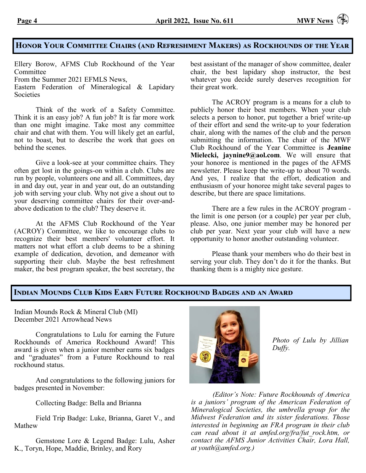### **Honor Your Committee Chairs (and Refreshment Makers) as Rockhounds of the Year**

Ellery Borow, AFMS Club Rockhound of the Year **Committee** 

From the Summer 2021 EFMLS News,

Eastern Federation of Mineralogical & Lapidary **Societies** 

Think of the work of a Safety Committee. Think it is an easy job? A fun job? It is far more work than one might imagine. Take most any committee chair and chat with them. You will likely get an earful, not to boast, but to describe the work that goes on behind the scenes.

Give a look-see at your committee chairs. They often get lost in the goings-on within a club. Clubs are run by people, volunteers one and all. Committees, day in and day out, year in and year out, do an outstanding job with serving your club. Why not give a shout out to your deserving committee chairs for their over-andabove dedication to the club? They deserve it.

At the AFMS Club Rockhound of the Year (ACROY) Committee, we like to encourage clubs to recognize their best members' volunteer effort. It matters not what effort a club deems to be a shining example of dedication, devotion, and demeanor with supporting their club. Maybe the best refreshment maker, the best program speaker, the best secretary, the

best assistant of the manager of show committee, dealer chair, the best lapidary shop instructor, the best whatever you decide surely deserves recognition for their great work.

The ACROY program is a means for a club to publicly honor their best members. When your club selects a person to honor, put together a brief write-up of their effort and send the write-up to your federation chair, along with the names of the club and the person submitting the information. The chair of the MWF Club Rockhound of the Year Committee is **Jeanine Mielecki, jaynine9@aol.com**. We will ensure that your honoree is mentioned in the pages of the AFMS newsletter. Please keep the write-up to about 70 words. And yes, I realize that the effort, dedication and enthusiasm of your honoree might take several pages to describe, but there are space limitations.

There are a few rules in the ACROY program the limit is one person (or a couple) per year per club, please. Also, one junior member may be honored per club per year. Next year your club will have a new opportunity to honor another outstanding volunteer.

Please thank your members who do their best in serving your club. They don't do it for the thanks. But thanking them is a mighty nice gesture.

#### **Indian Mounds Club Kids Earn Future Rockhound Badges and an Award**

Indian Mounds Rock & Mineral Club (MI) December 2021 Arrowhead News

Congratulations to Lulu for earning the Future Rockhounds of America Rockhound Award! This award is given when a junior member earns six badges and "graduates" from a Future Rockhound to real rockhound status.

And congratulations to the following juniors for badges presented in November:

Collecting Badge: Bella and Brianna

Field Trip Badge: Luke, Brianna, Garet V., and Mathew

Gemstone Lore & Legend Badge: Lulu, Asher K., Toryn, Hope, Maddie, Brinley, and Rory



*Photo of Lulu by Jillian Duffy.* 

*(Editor's Note: Future Rockhounds of America is a juniors' program of the American Federation of Mineralogical Societies, the umbrella group for the Midwest Federation and its sister federations. Those interested in beginning an FRA program in their club can read about it at amfed.org/fra/fut\_rock.htm, or contact the AFMS Junior Activities Chair, Lora Hall, at youth@amfed.org.)*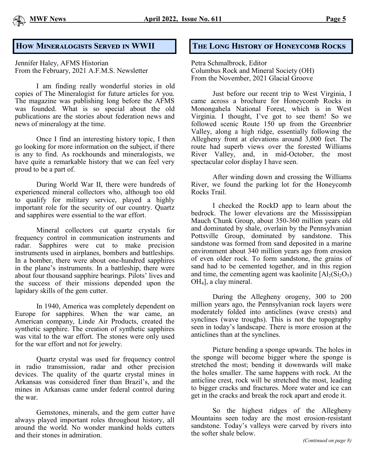#### **How Mineralogists Served in WWII**

Jennifer Haley, AFMS Historian From the February, 2021 A.F.M.S. Newsletter

I am finding really wonderful stories in old copies of The Mineralogist for future articles for you. The magazine was publishing long before the AFMS was founded. What is so special about the old publications are the stories about federation news and news of mineralogy at the time.

Once I find an interesting history topic, I then go looking for more information on the subject, if there is any to find. As rockhounds and mineralogists, we have quite a remarkable history that we can feel very proud to be a part of.

During World War II, there were hundreds of experienced mineral collectors who, although too old to qualify for military service, played a highly important role for the security of our country. Quartz and sapphires were essential to the war effort.

Mineral collectors cut quartz crystals for frequency control in communication instruments and radar. Sapphires were cut to make precision instruments used in airplanes, bombers and battleships. In a bomber, there were about one-hundred sapphires in the plane's instruments. In a battleship, there were about four thousand sapphire bearings. Pilots' lives and the success of their missions depended upon the lapidary skills of the gem cutter.

In 1940, America was completely dependent on Europe for sapphires. When the war came, an American company, Linde Air Products, created the synthetic sapphire. The creation of synthetic sapphires was vital to the war effort. The stones were only used for the war effort and not for jewelry.

Quartz crystal was used for frequency control in radio transmission, radar and other precision devices. The quality of the quartz crystal mines in Arkansas was considered finer than Brazil's, and the mines in Arkansas came under federal control during the war.

Gemstones, minerals, and the gem cutter have always played important roles throughout history, all around the world. No wonder mankind holds cutters and their stones in admiration.

#### **The Long History of Honeycomb Rocks**

Petra Schmalbrock, Editor Columbus Rock and Mineral Society (OH) From the November, 2021 Glacial Groove

Just before our recent trip to West Virginia, I came across a brochure for Honeycomb Rocks in Monongahela National Forest, which is in West Virginia. I thought, I've got to see them! So we followed scenic Route 150 up from the Greenbrier Valley, along a high ridge, essentially following the Allegheny front at elevations around 3,000 feet. The route had superb views over the forested Williams River Valley, and, in mid-October, the most spectacular color display I have seen.

After winding down and crossing the Williams River, we found the parking lot for the Honeycomb Rocks Trail.

I checked the RockD app to learn about the bedrock. The lower elevations are the Mississippian Mauch Chunk Group, about 350-360 million years old and dominated by shale, overlain by the Pennsylvanian Pottsville Group, dominated by sandstone. This sandstone was formed from sand deposited in a marine environment about 340 million years ago from erosion of even older rock. To form sandstone, the grains of sand had to be cemented together, and in this region and time, the cementing agent was kaolinite  $[A1_2(Si_2O_5)]$ OH4], a clay mineral.

During the Allegheny orogeny, 300 to 200 million years ago, the Pennsylvanian rock layers were moderately folded into anticlines (wave crests) and synclines (wave troughs). This is not the topography seen in today's landscape. There is more erosion at the anticlines than at the synclines.

Picture bending a sponge upwards. The holes in the sponge will become bigger where the sponge is stretched the most; bending it downwards will make the holes smaller. The same happens with rock. At the anticline crest, rock will be stretched the most, leading to bigger cracks and fractures. More water and ice can get in the cracks and break the rock apart and erode it.

So the highest ridges of the Allegheny Mountains seen today are the most erosion-resistant sandstone. Today's valleys were carved by rivers into the softer shale below.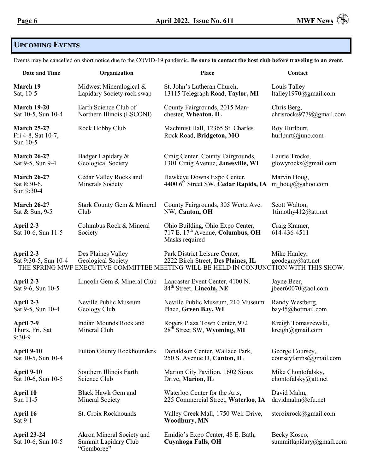

# **Upcoming Events**

Events may be cancelled on short notice due to the COVID-19 pandemic. **Be sure to contact the host club before traveling to an event.**

| Date and Time                                        | Organization                                                    | Place                                                                                                                                                         | Contact                                  |
|------------------------------------------------------|-----------------------------------------------------------------|---------------------------------------------------------------------------------------------------------------------------------------------------------------|------------------------------------------|
| March 19                                             | Midwest Mineralogical &                                         | St. John's Lutheran Church,                                                                                                                                   | Louis Talley                             |
| Sat, 10-5                                            | Lapidary Society rock swap                                      | 13115 Telegraph Road, Taylor, MI                                                                                                                              | ltalley1970@gmail.com                    |
| <b>March 19-20</b>                                   | Earth Science Club of                                           | County Fairgrounds, 2015 Man-                                                                                                                                 | Chris Berg,                              |
| Sat 10-5, Sun 10-4                                   | Northern Illinois (ESCONI)                                      | chester, Wheaton, IL                                                                                                                                          | chrisrocks9779@gmail.com                 |
| <b>March 25-27</b><br>Fri 4-8, Sat 10-7,<br>Sun 10-5 | Rock Hobby Club                                                 | Machinist Hall, 12365 St. Charles<br>Rock Road, Bridgeton, MO                                                                                                 | Roy Hurlburt,<br>hurlburt@juno.com       |
| <b>March 26-27</b>                                   | Badger Lapidary &                                               | Craig Center, County Fairgrounds,                                                                                                                             | Laurie Trocke,                           |
| Sat 9-5, Sun 9-4                                     | Geological Society                                              | 1301 Craig Avenue, Janesville, WI                                                                                                                             | glowyrocks@gmail.com                     |
| <b>March 26-27</b><br>Sat 8:30-6,<br>Sun 9:30-4      | Cedar Valley Rocks and<br><b>Minerals Society</b>               | Hawkeye Downs Expo Center,<br>4400 6 <sup>th</sup> Street SW, Cedar Rapids, IA                                                                                | Marvin Houg,<br>m houg@yahoo.com         |
| <b>March 26-27</b>                                   | Stark County Gem & Mineral                                      | County Fairgrounds, 305 Wertz Ave.                                                                                                                            | Scott Walton,                            |
| Sat & Sun, 9-5                                       | Club                                                            | NW, Canton, OH                                                                                                                                                | 1timothy412@att.net                      |
| April 2-3<br>Sat 10-6, Sun 11-5                      | Columbus Rock & Mineral<br>Society                              | Ohio Building, Ohio Expo Center,<br>717 E. 17 <sup>th</sup> Avenue, Columbus, OH<br>Masks required                                                            | Craig Kramer,<br>614-436-4511            |
| April 2-3<br>Sat 9:30-5, Sun 10-4                    | Des Plaines Valley<br>Geological Society                        | Park District Leisure Center,<br>2222 Birch Street, Des Plaines, IL<br>THE SPRING MWF EXECUTIVE COMMITTEE MEETING WILL BE HELD IN CONJUNCTION WITH THIS SHOW. | Mike Hanley,<br>geodeguy@att.net         |
| April 2-3                                            | Lincoln Gem & Mineral Club                                      | Lancaster Event Center, 4100 N.                                                                                                                               | Jayne Beer,                              |
| Sat 9-6, Sun 10-5                                    |                                                                 | 84 <sup>th</sup> Street, Lincoln, NE                                                                                                                          | jbeer60070@aol.com                       |
| April 2-3                                            | Neville Public Museum                                           | Neville Public Museum, 210 Museum                                                                                                                             | Randy Westberg,                          |
| Sat 9-5, Sun 10-4                                    | Geology Club                                                    | Place, Green Bay, WI                                                                                                                                          | bay45@hotmail.com                        |
| April 7-9<br>Thurs, Fri, Sat<br>$9:30-9$             | Indian Mounds Rock and<br>Mineral Club                          | Rogers Plaza Town Center, 972<br>28 <sup>th</sup> Street SW, Wyoming, MI                                                                                      | Kreigh Tomaszewski,<br>kreigh@gmail.com  |
| April 9-10                                           | <b>Fulton County Rockhounders</b>                               | Donaldson Center, Wallace Park,                                                                                                                               | George Coursey,                          |
| Sat 10-5, Sun 10-4                                   |                                                                 | 250 S. Avenue D, Canton, IL                                                                                                                                   | courseyfarms@gmail.com                   |
| April 9-10                                           | Southern Illinois Earth                                         | Marion City Pavilion, 1602 Sioux                                                                                                                              | Mike Chontofalsky,                       |
| Sat 10-6, Sun 10-5                                   | Science Club                                                    | Drive, Marion, IL                                                                                                                                             | chontofalsky $@$ att.net                 |
| April 10                                             | Black Hawk Gem and                                              | Waterloo Center for the Arts,                                                                                                                                 | David Malm,                              |
| Sun 11-5                                             | Mineral Society                                                 | 225 Commercial Street, Waterloo, IA                                                                                                                           | davidmalm@cfu.net                        |
| April 16<br>Sat 9-1                                  | St. Croix Rockhounds                                            | Valley Creek Mall, 1750 Weir Drive,<br><b>Woodbury, MN</b>                                                                                                    | stcroixrock@gmail.com                    |
| <b>April 23-24</b><br>Sat 10-6, Sun 10-5             | Akron Mineral Society and<br>Summit Lapidary Club<br>"Gemboree" | Emidio's Expo Center, 48 E. Bath,<br><b>Cuyahoga Falls, OH</b>                                                                                                | Becky Kosco,<br>summitlapidary@gmail.com |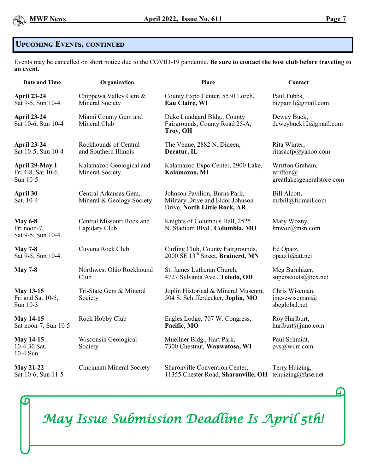

ပြ

# **Upcoming Events, continued**

Events may be cancelled on short notice due to the COVID-19 pandemic. **Be sure to contact the host club before traveling to an event.**

| Date and Time                                      | Organization                                       | Place                                                                                             | Contact                                                           |
|----------------------------------------------------|----------------------------------------------------|---------------------------------------------------------------------------------------------------|-------------------------------------------------------------------|
| <b>April 23-24</b><br>Sat 9-5, Sun 10-4            | Chippewa Valley Gem &<br>Mineral Society           | County Expo Center, 5530 Lorch,<br>Eau Claire, WI                                                 | Paul Tubbs,<br>bizpaml@gmail.com                                  |
| <b>April 23-24</b><br>Sat 10-6, Sun 10-4           | Miami County Gem and<br>Mineral Club               | Duke Lundgard Bldg., County<br>Fairgrounds, County Road 25-A,<br>Troy, OH                         | Dewey Buck,<br>deweybuck12@gmail.com                              |
| <b>April 23-24</b><br>Sat 10-5, Sun 10-4           | Rockhounds of Central<br>and Southern Illinois     | The Venue, 2882 N. Dineen,<br>Decatur, IL                                                         | Rita Winter,<br>ritasacfp@yahoo.com                               |
| April 29-May 1<br>Fri 4-8, Sat 10-6,<br>Sun 10-5   | Kalamazoo Geological and<br>Mineral Society        | Kalamazoo Expo Center, 2900 Lake,<br>Kalamazoo, MI                                                | Wrifton Graham,<br>wrifton $\omega$<br>greatlakesgeneralstore.com |
| April 30<br>Sat, 10-4                              | Central Arkansas Gem,<br>Mineral & Geology Society | Johnson Pavilion, Burns Park,<br>Military Drive and Eldor Johnson<br>Drive, North Little Rock, AR | Bill Alcott,<br>mrbill@fidmail.com                                |
| <b>May 6-8</b><br>Fri noon-7,<br>Sat 9-5, Sun 10-4 | Central Missouri Rock and<br>Lapidary Club         | Knights of Columbus Hall, 2525<br>N. Stadium Blvd., Columbia, MO                                  | Mary Wozny,<br>lmwoz@msn.com                                      |
| <b>May 7-8</b><br>Sat 9-5, Sun 10-4                | Cuyuna Rock Club                                   | Curling Club, County Fairgrounds,<br>2000 SE 13 <sup>th</sup> Street, Brainerd, MN                | Ed Opatz,<br>opatz1@at1.net                                       |
| <b>May 7-8</b>                                     | Northwest Ohio Rockhound<br>Club                   | St. James Lutheran Church,<br>4727 Sylvania Ave., Toledo, OH                                      | Meg Barnhizer,<br>superscouts@bex.net                             |
| <b>May 13-15</b><br>Fri and Sat 10-5,<br>Sun 10-3  | Tri-State Gem & Mineral<br>Society                 | Joplin Historical & Mineral Museum,<br>504 S. Schifferdecker, Joplin, MO                          | Chris Wiseman,<br>jmc-cwiseman $\omega$<br>sbcglobal.net          |
| <b>May 14-15</b><br>Sat noon-7, Sun 10-5           | Rock Hobby Club                                    | Eagles Lodge, 707 W. Congress,<br>Pacific, MO                                                     | Roy Hurlburt,<br>hurlburt@juno.com                                |
| <b>May 14-15</b><br>10-4:30 Sat,<br>10-4 Sun       | Wisconsin Geological<br>Society                    | Muellner Bldg., Hart Park,<br>7300 Chestnut, Wauwatosa, WI                                        | Paul Schmidt,<br>pvs@wi.rr.com                                    |
| <b>May 21-22</b><br>Sat 10-6, Sun 11-5             | Cincinnati Mineral Society                         | Sharonville Convention Center,<br>11355 Chester Road, Sharonville, OH tehuizing@fuse.net          | Terry Huizing,                                                    |



*May Issue Submission Deadline Is April 5th!*